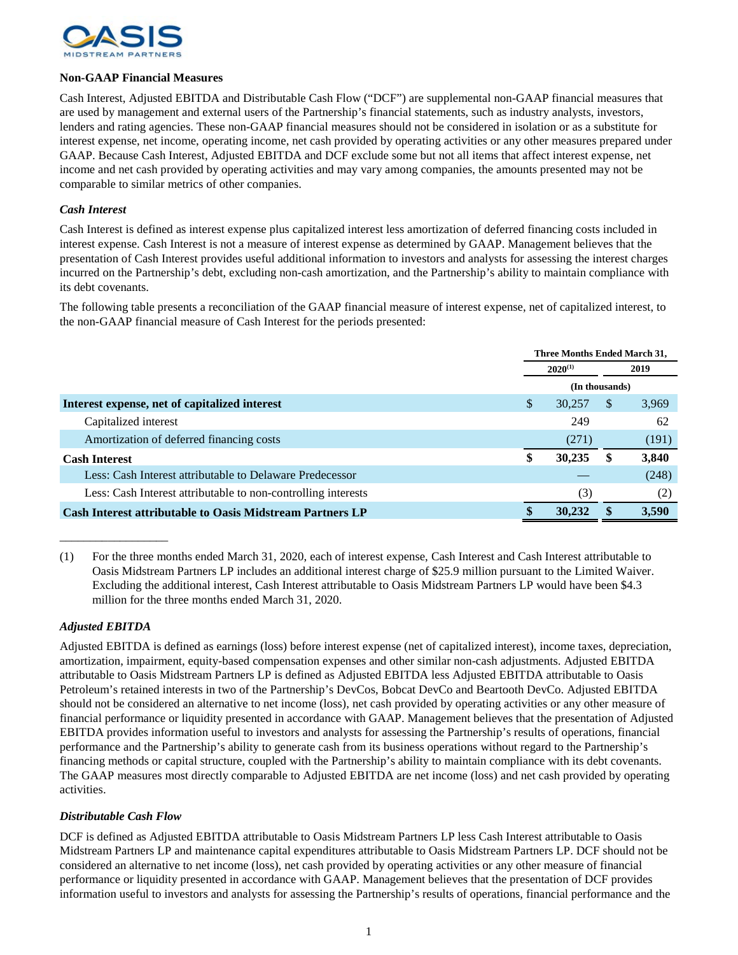

## **Non-GAAP Financial Measures**

Cash Interest, Adjusted EBITDA and Distributable Cash Flow ("DCF") are supplemental non-GAAP financial measures that are used by management and external users of the Partnership's financial statements, such as industry analysts, investors, lenders and rating agencies. These non-GAAP financial measures should not be considered in isolation or as a substitute for interest expense, net income, operating income, net cash provided by operating activities or any other measures prepared under GAAP. Because Cash Interest, Adjusted EBITDA and DCF exclude some but not all items that affect interest expense, net income and net cash provided by operating activities and may vary among companies, the amounts presented may not be comparable to similar metrics of other companies.

## *Cash Interest*

Cash Interest is defined as interest expense plus capitalized interest less amortization of deferred financing costs included in interest expense. Cash Interest is not a measure of interest expense as determined by GAAP. Management believes that the presentation of Cash Interest provides useful additional information to investors and analysts for assessing the interest charges incurred on the Partnership's debt, excluding non-cash amortization, and the Partnership's ability to maintain compliance with its debt covenants.

The following table presents a reconciliation of the GAAP financial measure of interest expense, net of capitalized interest, to the non-GAAP financial measure of Cash Interest for the periods presented:

|                                                                  | Three Months Ended March 31, |              |               |       |  |
|------------------------------------------------------------------|------------------------------|--------------|---------------|-------|--|
|                                                                  |                              | $2020^{(1)}$ | 2019          |       |  |
|                                                                  | (In thousands)               |              |               |       |  |
| Interest expense, net of capitalized interest                    | <sup>\$</sup>                | 30,257       | <sup>\$</sup> | 3,969 |  |
| Capitalized interest                                             |                              | 249          |               | 62    |  |
| Amortization of deferred financing costs                         |                              | (271)        |               | (191) |  |
| <b>Cash Interest</b>                                             | \$                           | 30,235       | S             | 3,840 |  |
| Less: Cash Interest attributable to Delaware Predecessor         |                              |              |               | (248) |  |
| Less: Cash Interest attributable to non-controlling interests    |                              | (3)          |               | (2)   |  |
| <b>Cash Interest attributable to Oasis Midstream Partners LP</b> | \$                           | 30,232       |               | 3.590 |  |

(1) For the three months ended March 31, 2020, each of interest expense, Cash Interest and Cash Interest attributable to Oasis Midstream Partners LP includes an additional interest charge of \$25.9 million pursuant to the Limited Waiver. Excluding the additional interest, Cash Interest attributable to Oasis Midstream Partners LP would have been \$4.3 million for the three months ended March 31, 2020.

## *Adjusted EBITDA*

\_\_\_\_\_\_\_\_\_\_\_\_\_\_\_\_\_\_

Adjusted EBITDA is defined as earnings (loss) before interest expense (net of capitalized interest), income taxes, depreciation, amortization, impairment, equity-based compensation expenses and other similar non-cash adjustments. Adjusted EBITDA attributable to Oasis Midstream Partners LP is defined as Adjusted EBITDA less Adjusted EBITDA attributable to Oasis Petroleum's retained interests in two of the Partnership's DevCos, Bobcat DevCo and Beartooth DevCo. Adjusted EBITDA should not be considered an alternative to net income (loss), net cash provided by operating activities or any other measure of financial performance or liquidity presented in accordance with GAAP. Management believes that the presentation of Adjusted EBITDA provides information useful to investors and analysts for assessing the Partnership's results of operations, financial performance and the Partnership's ability to generate cash from its business operations without regard to the Partnership's financing methods or capital structure, coupled with the Partnership's ability to maintain compliance with its debt covenants. The GAAP measures most directly comparable to Adjusted EBITDA are net income (loss) and net cash provided by operating activities.

## *Distributable Cash Flow*

DCF is defined as Adjusted EBITDA attributable to Oasis Midstream Partners LP less Cash Interest attributable to Oasis Midstream Partners LP and maintenance capital expenditures attributable to Oasis Midstream Partners LP. DCF should not be considered an alternative to net income (loss), net cash provided by operating activities or any other measure of financial performance or liquidity presented in accordance with GAAP. Management believes that the presentation of DCF provides information useful to investors and analysts for assessing the Partnership's results of operations, financial performance and the